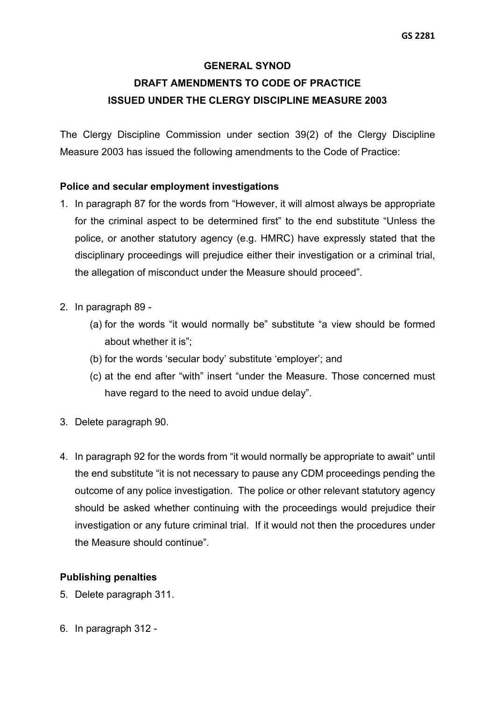# **GENERAL SYNOD DRAFT AMENDMENTS TO CODE OF PRACTICE ISSUED UNDER THE CLERGY DISCIPLINE MEASURE 2003**

The Clergy Discipline Commission under section 39(2) of the Clergy Discipline Measure 2003 has issued the following amendments to the Code of Practice:

## **Police and secular employment investigations**

- 1. In paragraph 87 for the words from "However, it will almost always be appropriate for the criminal aspect to be determined first" to the end substitute "Unless the police, or another statutory agency (e.g. HMRC) have expressly stated that the disciplinary proceedings will prejudice either their investigation or a criminal trial, the allegation of misconduct under the Measure should proceed".
- 2. In paragraph 89
	- (a) for the words "it would normally be" substitute "a view should be formed about whether it is";
	- (b) for the words 'secular body' substitute 'employer'; and
	- (c) at the end after "with" insert "under the Measure. Those concerned must have regard to the need to avoid undue delay".
- 3. Delete paragraph 90.
- 4. In paragraph 92 for the words from "it would normally be appropriate to await" until the end substitute "it is not necessary to pause any CDM proceedings pending the outcome of any police investigation. The police or other relevant statutory agency should be asked whether continuing with the proceedings would prejudice their investigation or any future criminal trial. If it would not then the procedures under the Measure should continue".

## **Publishing penalties**

- 5. Delete paragraph 311.
- 6. In paragraph 312 -